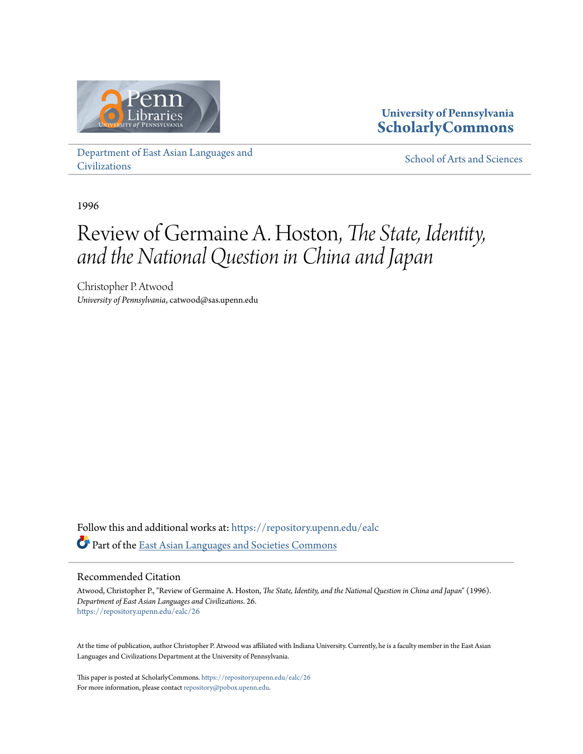

**University of Pennsylvania [ScholarlyCommons](https://repository.upenn.edu?utm_source=repository.upenn.edu%2Fealc%2F26&utm_medium=PDF&utm_campaign=PDFCoverPages)**

[Department of East Asian Languages and](https://repository.upenn.edu/ealc?utm_source=repository.upenn.edu%2Fealc%2F26&utm_medium=PDF&utm_campaign=PDFCoverPages) [Civilizations](https://repository.upenn.edu/ealc?utm_source=repository.upenn.edu%2Fealc%2F26&utm_medium=PDF&utm_campaign=PDFCoverPages)

[School of Arts and Sciences](https://repository.upenn.edu/sas?utm_source=repository.upenn.edu%2Fealc%2F26&utm_medium=PDF&utm_campaign=PDFCoverPages)

1996

# Review of Germaine A. Hoston, *The State, Identity, and the National Question in China and Japan*

Christopher P. Atwood *University of Pennsylvania*, catwood@sas.upenn.edu

Follow this and additional works at: [https://repository.upenn.edu/ealc](https://repository.upenn.edu/ealc?utm_source=repository.upenn.edu%2Fealc%2F26&utm_medium=PDF&utm_campaign=PDFCoverPages) Part of the [East Asian Languages and Societies Commons](http://network.bepress.com/hgg/discipline/481?utm_source=repository.upenn.edu%2Fealc%2F26&utm_medium=PDF&utm_campaign=PDFCoverPages)

### Recommended Citation

Atwood, Christopher P., "Review of Germaine A. Hoston, *The State, Identity, and the National Question in China and Japan*" (1996). *Department of East Asian Languages and Civilizations*. 26. [https://repository.upenn.edu/ealc/26](https://repository.upenn.edu/ealc/26?utm_source=repository.upenn.edu%2Fealc%2F26&utm_medium=PDF&utm_campaign=PDFCoverPages)

At the time of publication, author Christopher P. Atwood was affiliated with Indiana University. Currently, he is a faculty member in the East Asian Languages and Civilizations Department at the University of Pennsylvania.

This paper is posted at ScholarlyCommons. <https://repository.upenn.edu/ealc/26> For more information, please contact [repository@pobox.upenn.edu.](mailto:repository@pobox.upenn.edu)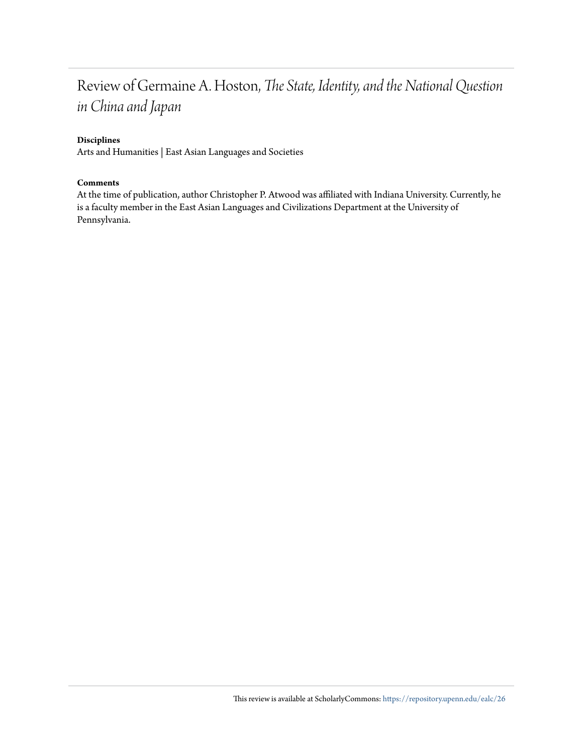### Review of Germaine A. Hoston, *The State, Identity, and the National Question in China and Japan*

#### **Disciplines**

Arts and Humanities | East Asian Languages and Societies

#### **Comments**

At the time of publication, author Christopher P. Atwood was affiliated with Indiana University. Currently, he is a faculty member in the East Asian Languages and Civilizations Department at the University of Pennsylvania.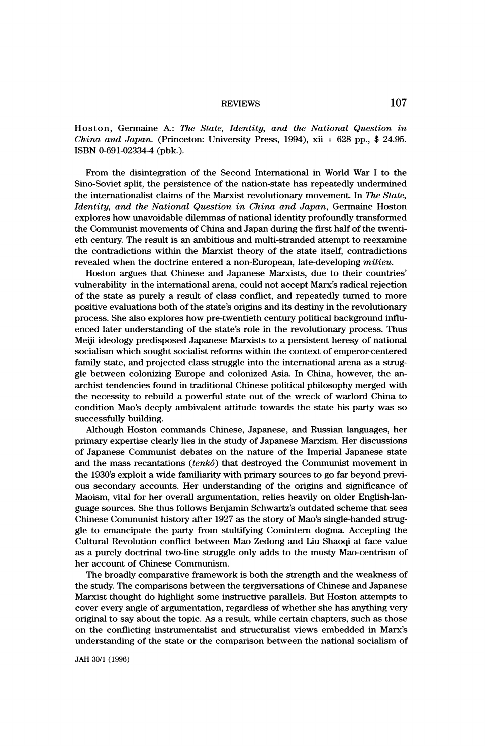# REVIEWS 107

Hoston, Germaine A.: The State, Identity, and the National Question in China and Japan. (Princeton: University Press, 1994), xii + 628 pp.,  $$24.95$ . ISBN 0-691-02334-4 (pbk.).

 From the disintegration of the Second International in World War I to the Sino-Soviet split, the persistence of the nation-state has repeatedly undermined the internationalist claims of the Marxist revolutionary movement. In The State, Identity, and the National Question in China and Japan, Germaine Hoston explores how unavoidable dilemmas of national identity profoundly transformed the Communist movements of China and Japan during the first half of the twenti eth century. The result is an ambitious and multi-stranded attempt to reexamine the contradictions within the Marxist theory of the state itself, contradictions revealed when the doctrine entered a non-European, late-developing milieu.

 Hoston argues that Chinese and Japanese Marxists, due to their countries' vulnerability in the international arena, could not accept Marx's radical rejection of the state as purely a result of class conflict, and repeatedly turned to more positive evaluations both of the state's origins and its destiny in the revolutionary process. She also explores how pre-twentieth century political background influ enced later understanding of the state's role in the revolutionary process. Thus Meiji ideology predisposed Japanese Marxists to a persistent heresy of national socialism which sought socialist reforms within the context of emperor-centered family state, and projected class struggle into the international arena as a strug gle between colonizing Europe and colonized Asia. In China, however, the an archist tendencies found in traditional Chinese political philosophy merged with the necessity to rebuild a powerful state out of the wreck of warlord China to condition Mao's deeply ambivalent attitude towards the state his party was so successfully building.

 Although Hoston commands Chinese, Japanese, and Russian languages, her primary expertise clearly lies in the study of Japanese Marxism. Her discussions of Japanese Communist debates on the nature of the Imperial Japanese state and the mass recantations  $(tenkô)$  that destroyed the Communist movement in the 1930's exploit a wide familiarity with primary sources to go far beyond previ ous secondary accounts. Her understanding of the origins and significance of Maoism, vital for her overall argumentation, relies heavily on older English-lan guage sources. She thus follows Benjamin Schwartz's outdated scheme that sees Chinese Communist history after 1927 as the story of Mao's single-handed strug gle to emancipate the party from stultifying Comintern dogma. Accepting the Cultural Revolution conflict between Mao Zedong and Liu Shaoqi at face value as a purely doctrinal two-line struggle only adds to the musty Mao-centrism of her account of Chinese Communism.

 The broadly comparative framework is both the strength and the weakness of the study. The comparisons between the tergiversations of Chinese and Japanese Marxist thought do highlight some instructive parallels. But Hoston attempts to cover every angle of argumentation, regardless of whether she has anything very original to say about the topic. As a result, while certain chapters, such as those on the conflicting instrumentalist and structuralist views embedded in Marx's understanding of the state or the comparison between the national socialism of